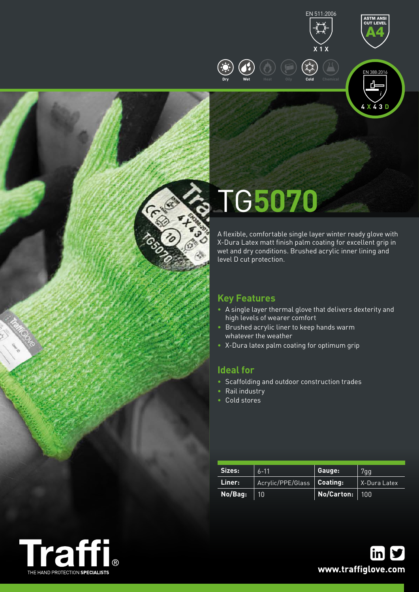



ASTM ANSI CUT LEVEL



# TG**5070**

**Dry Wet Heat Oily Cold Chemical**

A flexible, comfortable single layer winter ready glove with X-Dura Latex matt finish palm coating for excellent grip in wet and dry conditions. Brushed acrylic inner lining and level D cut protection.

## **Key Features**

- A single layer thermal glove that delivers dexterity and high levels of wearer comfort
- Brushed acrylic liner to keep hands warm whatever the weather
- X-Dura latex palm coating for optimum grip

### **Ideal for**

- Scaffolding and outdoor construction trades
- Rail industry
- Cold stores

| Sizes:  | $6 - 11$          | Gauge:                  | 7gg          |  |
|---------|-------------------|-------------------------|--------------|--|
| Liner:  | Acrylic/PPE/Glass | Coating:                | X-Dura Latex |  |
| No/Bag: | 10'               | <b>No/Carton:</b>   100 |              |  |